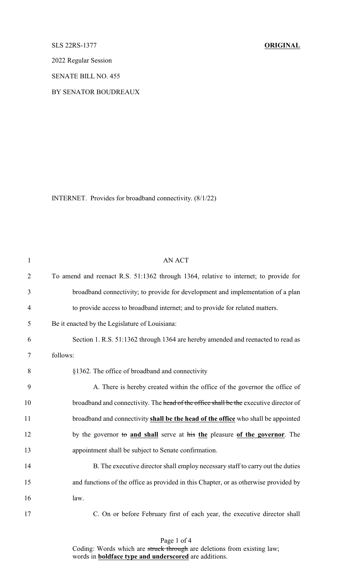## SLS 22RS-1377 **ORIGINAL**

2022 Regular Session

SENATE BILL NO. 455

## BY SENATOR BOUDREAUX

INTERNET. Provides for broadband connectivity. (8/1/22)

| $\mathbf{1}$   | <b>AN ACT</b>                                                                         |
|----------------|---------------------------------------------------------------------------------------|
| $\overline{2}$ | To amend and reenact R.S. 51:1362 through 1364, relative to internet; to provide for  |
| 3              | broadband connectivity; to provide for development and implementation of a plan       |
| $\overline{4}$ | to provide access to broadband internet; and to provide for related matters.          |
| 5              | Be it enacted by the Legislature of Louisiana:                                        |
| 6              | Section 1. R.S. 51:1362 through 1364 are hereby amended and reenacted to read as      |
| 7              | follows:                                                                              |
| 8              | §1362. The office of broadband and connectivity                                       |
| 9              | A. There is hereby created within the office of the governor the office of            |
| 10             | broadband and connectivity. The head of the office shall be the executive director of |
| 11             | broadband and connectivity shall be the head of the office who shall be appointed     |
| 12             | by the governor to and shall serve at his the pleasure of the governor. The           |
| 13             | appointment shall be subject to Senate confirmation.                                  |
| 14             | B. The executive director shall employ necessary staff to carry out the duties        |
| 15             | and functions of the office as provided in this Chapter, or as otherwise provided by  |
| 16             | law.                                                                                  |
| 17             | C. On or before February first of each year, the executive director shall             |

Page 1 of 4 Coding: Words which are struck through are deletions from existing law; words in **boldface type and underscored** are additions.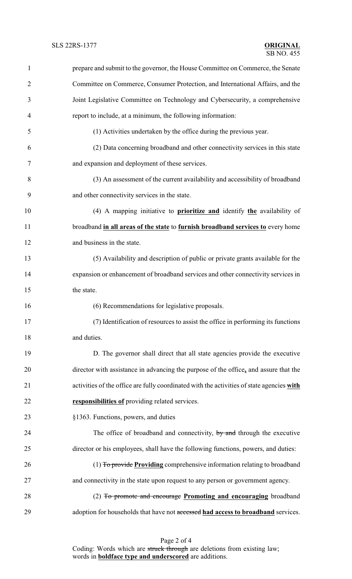| 1              | prepare and submit to the governor, the House Committee on Commerce, the Senate           |
|----------------|-------------------------------------------------------------------------------------------|
| $\overline{2}$ | Committee on Commerce, Consumer Protection, and International Affairs, and the            |
| 3              | Joint Legislative Committee on Technology and Cybersecurity, a comprehensive              |
| 4              | report to include, at a minimum, the following information:                               |
| 5              | (1) Activities undertaken by the office during the previous year.                         |
| 6              | (2) Data concerning broadband and other connectivity services in this state               |
| 7              | and expansion and deployment of these services.                                           |
| 8              | (3) An assessment of the current availability and accessibility of broadband              |
| 9              | and other connectivity services in the state.                                             |
| 10             | (4) A mapping initiative to <b>prioritize and</b> identify the availability of            |
| 11             | broadband in all areas of the state to furnish broadband services to every home           |
| 12             | and business in the state.                                                                |
| 13             | (5) Availability and description of public or private grants available for the            |
| 14             | expansion or enhancement of broadband services and other connectivity services in         |
| 15             | the state.                                                                                |
| 16             | (6) Recommendations for legislative proposals.                                            |
| 17             | (7) Identification of resources to assist the office in performing its functions          |
| 18             | and duties.                                                                               |
| 19             | D. The governor shall direct that all state agencies provide the executive                |
| 20             | director with assistance in advancing the purpose of the office, and assure that the      |
| 21             | activities of the office are fully coordinated with the activities of state agencies with |
| 22             | responsibilities of providing related services.                                           |
| 23             | §1363. Functions, powers, and duties                                                      |
| 24             | The office of broadband and connectivity, by and through the executive                    |
| 25             | director or his employees, shall have the following functions, powers, and duties:        |
| 26             | (1) To provide Providing comprehensive information relating to broadband                  |
| 27             | and connectivity in the state upon request to any person or government agency.            |
| 28             | (2) To promote and encourage Promoting and encouraging broadband                          |
| 29             | adoption for households that have not accessed had access to broadband services.          |

Page 2 of 4 Coding: Words which are struck through are deletions from existing law; words in **boldface type and underscored** are additions.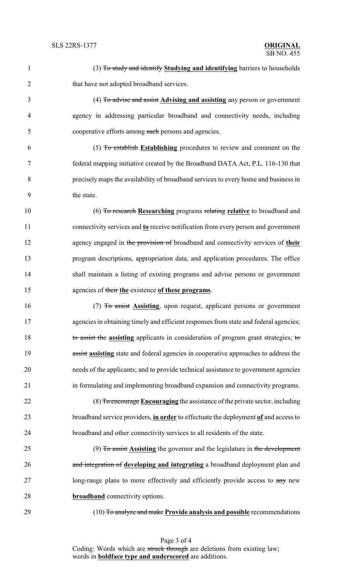| (3) To study and identify Studying and identifying barriers to households |
|---------------------------------------------------------------------------|
| that have not adopted broadband services.                                 |
| (4) To advise and assist Advising and assisting any person or government  |

 agency in addressing particular broadband and connectivity needs, including cooperative efforts among such persons and agencies.

 (5) To establish **Establishing** procedures to review and comment on the federal mapping initiative created by the Broadband DATA Act, P.L. 116-130 that precisely maps the availability of broadband services to every home and business in the state.

 (6) To research **Researching** programs relating **relative** to broadband and connectivity services and **to** receive notification from every person and government agency engaged in the provision of broadband and connectivity services of **their** program descriptions, appropriation data, and application procedures. The office shall maintain a listing of existing programs and advise persons or government agencies of their **the** existence **of these programs**.

 (7) To assist **Assisting**, upon request, applicant persons or government 17 agencies in obtaining timely and efficient responses from state and federal agencies; to assist the **assisting** applicants in consideration of program grant strategies; to assist **assisting** state and federal agencies in cooperative approaches to address the needs of the applicants; and to provide technical assistance to government agencies in formulating and implementing broadband expansion and connectivity programs.

 (8) To encourage **Encouraging** the assistance of the private sector, including broadband service providers, **in order** to effectuate the deployment **of** and access to broadband and other connectivity services to all residents of the state.

 (9) To assist **Assisting** the governor and the legislature in the development and integration of **developing and integrating** a broadband deployment plan and 27 long-range plans to more effectively and efficiently provide access to  $\frac{1}{2}$  new **broadband** connectivity options.

(10) To analyze and make **Provide analysis and possible** recommendations

Page 3 of 4 Coding: Words which are struck through are deletions from existing law; words in **boldface type and underscored** are additions.